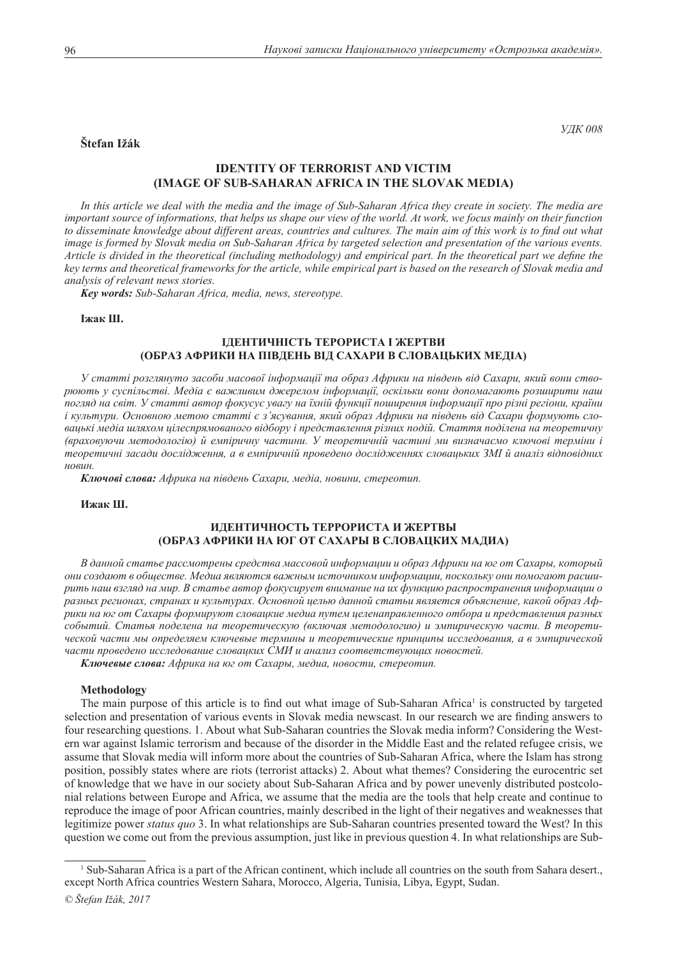# **Štefan Ižák**

*УДК 008*

# **Identity of terrorist and victim (Image of Sub-Saharan Africa in the Slovak media)**

*In this article we deal with the media and the image of Sub-Saharan Africa they create in society. The media are important source of informations, that helps us shape our view of the world. At work, we focus mainly on their function*  to disseminate knowledge about different areas, countries and cultures. The main aim of this work is to find out what *image is formed by Slovak media on Sub-Saharan Africa by targeted selection and presentation of the various events. Article is divided in the theoretical (including methodology) and empirical part. In the theoretical part we define the key terms and theoretical frameworks for the article, while empirical part is based on the research of Slovak media and analysis of relevant news stories.*

*Key words: Sub-Saharan Africa, media, news, stereotype.*

### **Іжак Ш.**

# **Ідентичність терориста і жертви (образ Африки на південь від Сахари в словацьких медіа)**

*У статті розглянуто засоби масової інформації та образ Африки на південь від Сахари, який вони створюють у суспільстві. Медіа є важливим джерелом інформації, оскільки вони допомагають розширити наш погляд на світ. У статті автор фокусує увагу на їхній функції поширення інформації про різні регіони, країни і культури. Основною метою статті є з'ясування, який образ Африки на південь від Сахари формують словацькі медіа шляхом цілеспрямованого відбору і представлення різних подій. Стаття поділена на теоретичну (враховуючи методологію) й емпіричну частини. У теоретичній частині ми визначаємо ключові терміни і теоретичні засади дослідження, а в емпіричній проведено дослідженнях словацьких ЗМІ й аналіз відповідних новин.*

*Ключові слова: Африка на південь Сахари, медіа, новини, стереотип.*

**Ижак Ш.** 

# **Идентичность террориста и жертвы (образ Африки на юг от Сахары в словацких мадиа)**

*В данной статье рассмотрены средства массовой информации и образ Африки на юг от Сахары, который они создают в обществе. Медиа являются важным источником информации, поскольку они помогают расширить наш взгляд на мир. В статье автор фокусирует внимание на их функцию распространения информации о разных регионах, странах и культурах. Основной целью данной статьи является объяснение, какой образ Африки на юг от Сахары формируют словацкие медиа путем целенаправленного отбора и представления разных событий. Статья поделена на теоретическую (включая методологию) и эмпирическую части. В теоретической части мы определяем ключевые термины и теоретические принципы исследования, а в эмпирической части проведено исследование словацких СМИ и анализ соответствующих новостей.*

*Ключевые слова: Африка на юг от Сахары, медиа, новости, стереотип.*

#### **Methodology**

The main purpose of this article is to find out what image of Sub-Saharan Africa<sup>1</sup> is constructed by targeted selection and presentation of various events in Slovak media newscast. In our research we are finding answers to four researching questions. 1. About what Sub-Saharan countries the Slovak media inform? Considering the Western war against Islamic terrorism and because of the disorder in the Middle East and the related refugee crisis, we assume that Slovak media will inform more about the countries of Sub-Saharan Africa, where the Islam has strong position, possibly states where are riots (terrorist attacks) 2. About what themes? Considering the eurocentric set of knowledge that we have in our society about Sub-Saharan Africa and by power unevenly distributed postcolonial relations between Europe and Africa, we assume that the media are the tools that help create and continue to reproduce the image of poor African countries, mainly described in the light of their negatives and weaknesses that legitimize power *status quo* 3. In what relationships are Sub-Saharan countries presented toward the West? In this question we come out from the previous assumption, just like in previous question 4. In what relationships are Sub-

<sup>&</sup>lt;sup>1</sup> Sub-Saharan Africa is a part of the African continent, which include all countries on the south from Sahara desert., except North Africa countries Western Sahara, Morocco, Algeria, Tunisia, Libya, Egypt, Sudan.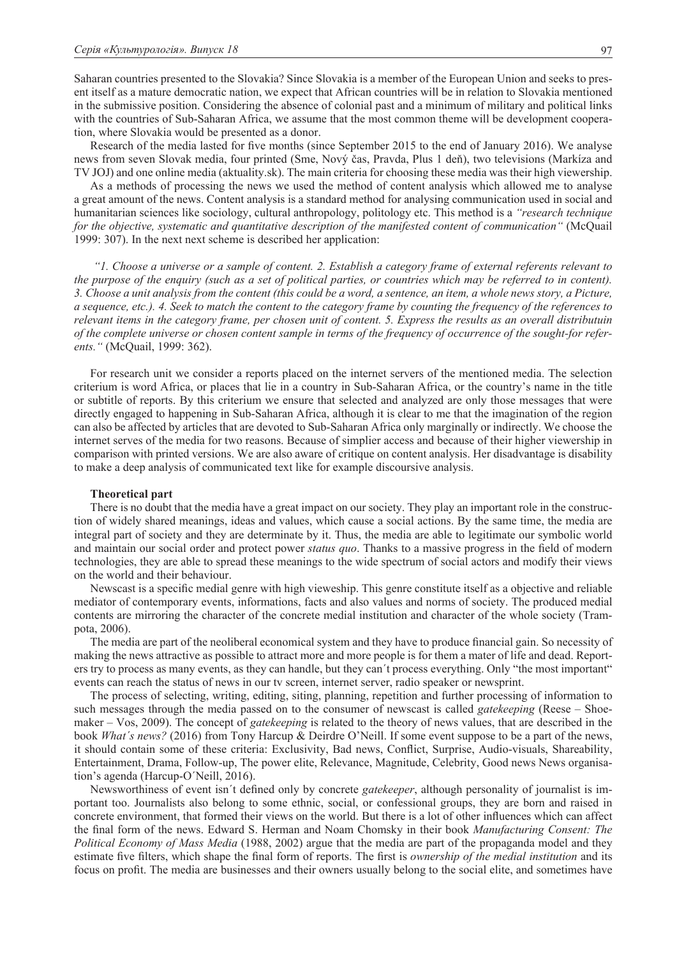Saharan countries presented to the Slovakia? Since Slovakia is a member of the European Union and seeks to present itself as a mature democratic nation, we expect that African countries will be in relation to Slovakia mentioned in the submissive position. Considering the absence of colonial past and a minimum of military and political links with the countries of Sub-Saharan Africa, we assume that the most common theme will be development cooperation, where Slovakia would be presented as a donor.

Research of the media lasted for five months (since September 2015 to the end of January 2016). We analyse news from seven Slovak media, four printed (Sme, Nový čas, Pravda, Plus 1 deň), two televisions (Markíza and TV JOJ) and one online media (aktuality.sk). The main criteria for choosing these media was their high viewership.

As a methods of processing the news we used the method of content analysis which allowed me to analyse a great amount of the news. Content analysis is a standard method for analysing communication used in social and humanitarian sciences like sociology, cultural anthropology, politology etc. This method is a *"research technique for the objective, systematic and quantitative description of the manifested content of communication"* (McQuail 1999: 307). In the next next scheme is described her application:

 *"1. Choose a universe or a sample of content. 2. Establish a category frame of external referents relevant to the purpose of the enquiry (such as a set of political parties, or countries which may be referred to in content). 3. Choose a unit analysis from the content (this could be a word, a sentence, an item, a whole news story, a Picture, a sequence, etc.). 4. Seek to match the content to the category frame by counting the frequency of the references to relevant items in the category frame, per chosen unit of content. 5. Express the results as an overall distributuin of the complete universe or chosen content sample in terms of the frequency of occurrence of the sought-for referents."* (McQuail, 1999: 362).

For research unit we consider a reports placed on the internet servers of the mentioned media. The selection criterium is word Africa, or places that lie in a country in Sub-Saharan Africa, or the country's name in the title or subtitle of reports. By this criterium we ensure that selected and analyzed are only those messages that were directly engaged to happening in Sub-Saharan Africa, although it is clear to me that the imagination of the region can also be affected by articles that are devoted to Sub-Saharan Africa only marginally or indirectly. We choose the internet serves of the media for two reasons. Because of simplier access and because of their higher viewership in comparison with printed versions. We are also aware of critique on content analysis. Her disadvantage is disability to make a deep analysis of communicated text like for example discoursive analysis.

### **Theoretical part**

There is no doubt that the media have a great impact on our society. They play an important role in the construction of widely shared meanings, ideas and values, which cause a social actions. By the same time, the media are integral part of society and they are determinate by it. Thus, the media are able to legitimate our symbolic world and maintain our social order and protect power *status quo*. Thanks to a massive progress in the field of modern technologies, they are able to spread these meanings to the wide spectrum of social actors and modify their views on the world and their behaviour.

Newscast is a specific medial genre with high vieweship. This genre constitute itself as a objective and reliable mediator of contemporary events, informations, facts and also values and norms of society. The produced medial contents are mirroring the character of the concrete medial institution and character of the whole society (Trampota, 2006).

The media are part of the neoliberal economical system and they have to produce financial gain. So necessity of making the news attractive as possible to attract more and more people is for them a mater of life and dead. Reporters try to process as many events, as they can handle, but they can´t process everything. Only "the most important" events can reach the status of news in our tv screen, internet server, radio speaker or newsprint.

The process of selecting, writing, editing, siting, planning, repetition and further processing of information to such messages through the media passed on to the consumer of newscast is called *gatekeeping* (Reese – Shoemaker – Vos, 2009). The concept of *gatekeeping* is related to the theory of news values, that are described in the book *What´s news?* (2016) from Tony Harcup & Deirdre O'Neill. If some event suppose to be a part of the news, it should contain some of these criteria: Exclusivity, Bad news, Conflict, Surprise, Audio-visuals, Shareability, Entertainment, Drama, Follow-up, The power elite, Relevance, Magnitude, Celebrity, Good news News organisation's agenda (Harcup-O´Neill, 2016).

Newsworthiness of event isn´t defined only by concrete *gatekeeper*, although personality of journalist is important too. Journalists also belong to some ethnic, social, or confessional groups, they are born and raised in concrete environment, that formed their views on the world. But there is a lot of other influences which can affect the final form of the news. Edward S. Herman and Noam Chomsky in their book *Manufacturing Consent: The Political Economy of Mass Media* (1988, 2002) argue that the media are part of the propaganda model and they estimate five filters, which shape the final form of reports. The first is *ownership of the medial institution* and its focus on profit. The media are businesses and their owners usually belong to the social elite, and sometimes have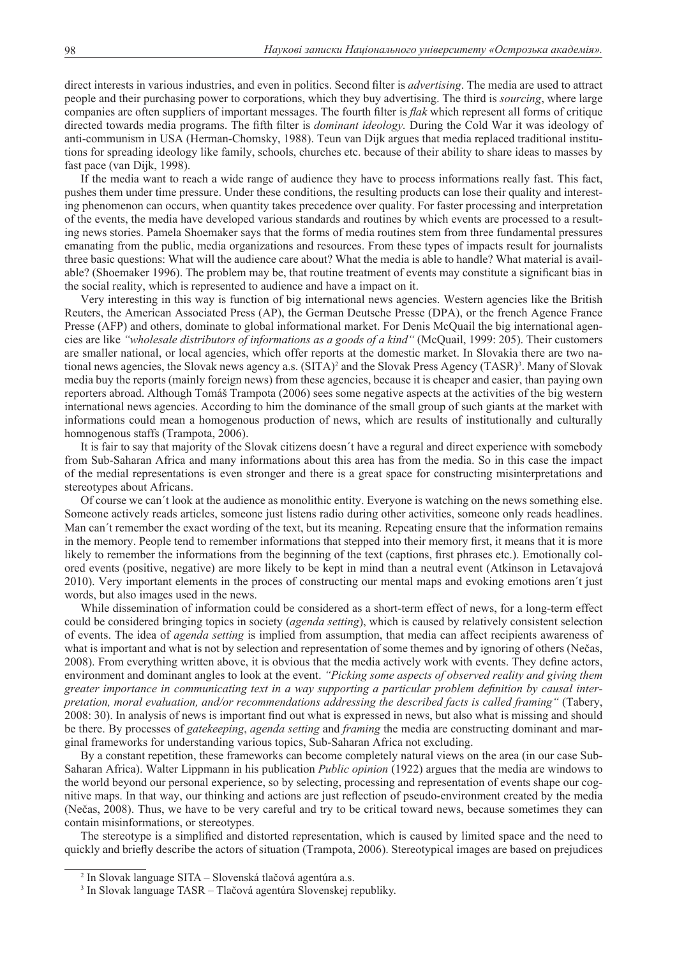direct interests in various industries, and even in politics. Second filter is *advertising*. The media are used to attract people and their purchasing power to corporations, which they buy advertising. The third is *sourcing*, where large companies are often suppliers of important messages. The fourth filter is *flak* which represent all forms of critique directed towards media programs. The fifth filter is *dominant ideology.* During the Cold War it was ideology of anti-communism in USA (Herman-Chomsky, 1988). Teun van Dijk argues that media replaced traditional institutions for spreading ideology like family, schools, churches etc. because of their ability to share ideas to masses by fast pace (van Dijk, 1998).

If the media want to reach a wide range of audience they have to process informations really fast. This fact, pushes them under time pressure. Under these conditions, the resulting products can lose their quality and interesting phenomenon can occurs, when quantity takes precedence over quality. For faster processing and interpretation of the events, the media have developed various standards and routines by which events are processed to a resulting news stories. Pamela Shoemaker says that the forms of media routines stem from three fundamental pressures emanating from the public, media organizations and resources. From these types of impacts result for journalists three basic questions: What will the audience care about? What the media is able to handle? What material is available? (Shoemaker 1996). The problem may be, that routine treatment of events may constitute a significant bias in the social reality, which is represented to audience and have a impact on it.

Very interesting in this way is function of big international news agencies. Western agencies like the British Reuters, the American Associated Press (AP), the German Deutsche Presse (DPA), or the french Agence France Presse (AFP) and others, dominate to global informational market. For Denis McQuail the big international agencies are like *"wholesale distributors of informations as a goods of a kind"* (McQuail, 1999: 205). Their customers are smaller national, or local agencies, which offer reports at the domestic market. In Slovakia there are two national news agencies, the Slovak news agency a.s. (SITA)<sup>2</sup> and the Slovak Press Agency (TASR)<sup>3</sup>. Many of Slovak media buy the reports (mainly foreign news) from these agencies, because it is cheaper and easier, than paying own reporters abroad. Although Tomáš Trampota (2006) sees some negative aspects at the activities of the big western international news agencies. According to him the dominance of the small group of such giants at the market with informations could mean a homogenous production of news, which are results of institutionally and culturally homnogenous staffs (Trampota, 2006).

It is fair to say that majority of the Slovak citizens doesn´t have a regural and direct experience with somebody from Sub-Saharan Africa and many informations about this area has from the media. So in this case the impact of the medial representations is even stronger and there is a great space for constructing misinterpretations and stereotypes about Africans.

Of course we can´t look at the audience as monolithic entity. Everyone is watching on the news something else. Someone actively reads articles, someone just listens radio during other activities, someone only reads headlines. Man can´t remember the exact wording of the text, but its meaning. Repeating ensure that the information remains in the memory. People tend to remember informations that stepped into their memory first, it means that it is more likely to remember the informations from the beginning of the text (captions, first phrases etc.). Emotionally colored events (positive, negative) are more likely to be kept in mind than a neutral event (Atkinson in Letavajová 2010). Very important elements in the proces of constructing our mental maps and evoking emotions aren´t just words, but also images used in the news.

While dissemination of information could be considered as a short-term effect of news, for a long-term effect could be considered bringing topics in society (*agenda setting*), which is caused by relatively consistent selection of events. The idea of *agenda setting* is implied from assumption, that media can affect recipients awareness of what is important and what is not by selection and representation of some themes and by ignoring of others (Nečas, 2008). From everything written above, it is obvious that the media actively work with events. They define actors, environment and dominant angles to look at the event. *"Picking some aspects of observed reality and giving them greater importance in communicating text in a way supporting a particular problem definition by causal interpretation, moral evaluation, and/or recommendations addressing the described facts is called framing"* (Tabery, 2008: 30). In analysis of news is important find out what is expressed in news, but also what is missing and should be there. By processes of *gatekeeping*, *agenda setting* and *framing* the media are constructing dominant and marginal frameworks for understanding various topics, Sub-Saharan Africa not excluding.

By a constant repetition, these frameworks can become completely natural views on the area (in our case Sub-Saharan Africa). Walter Lippmann in his publication *Public opinion* (1922) argues that the media are windows to the world beyond our personal experience, so by selecting, processing and representation of events shape our cognitive maps. In that way, our thinking and actions are just reflection of pseudo-environment created by the media (Nečas, 2008). Thus, we have to be very careful and try to be critical toward news, because sometimes they can contain misinformations, or stereotypes.

The stereotype is a simplified and distorted representation, which is caused by limited space and the need to quickly and briefly describe the actors of situation (Trampota, 2006). Stereotypical images are based on prejudices

<sup>2</sup> In Slovak language SITA – Slovenská tlačová agentúra a.s.

<sup>3</sup> In Slovak language TASR – Tlačová agentúra Slovenskej republiky.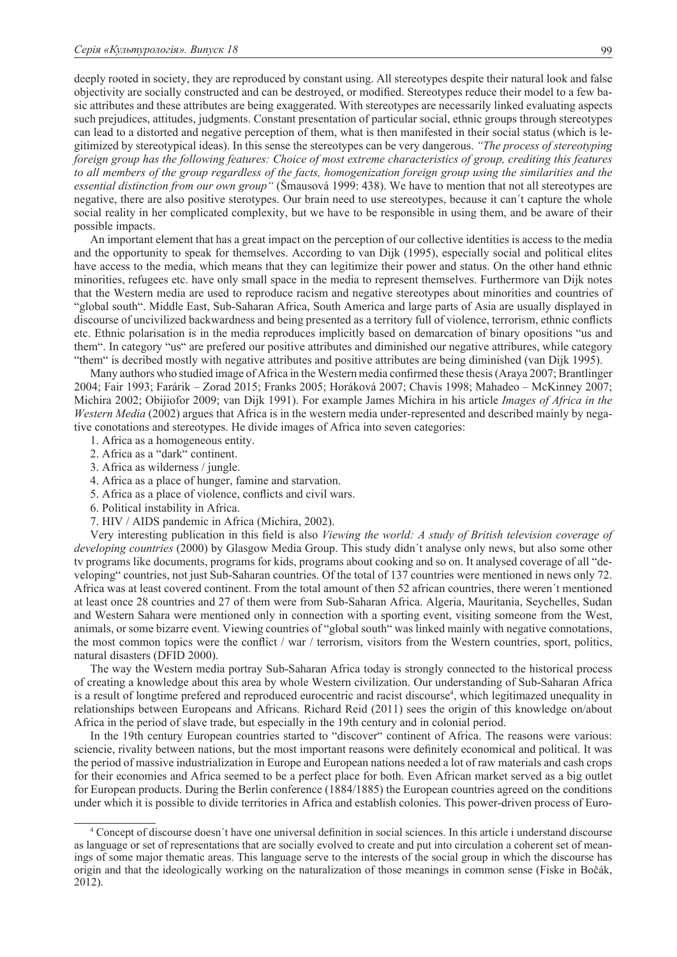deeply rooted in society, they are reproduced by constant using. All stereotypes despite their natural look and false objectivity are socially constructed and can be destroyed, or modified. Stereotypes reduce their model to a few basic attributes and these attributes are being exaggerated. With stereotypes are necessarily linked evaluating aspects such prejudices, attitudes, judgments. Constant presentation of particular social, ethnic groups through stereotypes can lead to a distorted and negative perception of them, what is then manifested in their social status (which is legitimized by stereotypical ideas). In this sense the stereotypes can be very dangerous. *"The process of stereotyping foreign group has the following features: Choice of most extreme characteristics of group, crediting this features*  to all members of the group regardless of the facts, homogenization foreign group using the similarities and the *essential distinction from our own group"* (Šmausová 1999: 438). We have to mention that not all stereotypes are negative, there are also positive sterotypes. Our brain need to use stereotypes, because it can´t capture the whole social reality in her complicated complexity, but we have to be responsible in using them, and be aware of their possible impacts.

An important element that has a great impact on the perception of our collective identities is access to the media and the opportunity to speak for themselves. According to van Dijk (1995), especially social and political elites have access to the media, which means that they can legitimize their power and status. On the other hand ethnic minorities, refugees etc. have only small space in the media to represent themselves. Furthermore van Dijk notes that the Western media are used to reproduce racism and negative stereotypes about minorities and countries of "global south". Middle East, Sub-Saharan Africa, South America and large parts of Asia are usually displayed in discourse of uncivilized backwardness and being presented as a territory full of violence, terrorism, ethnic conflicts etc. Ethnic polarisation is in the media reproduces implicitly based on demarcation of binary opositions "us and them". In category "us" are prefered our positive attributes and diminished our negative attribures, while category "them" is decribed mostly with negative attributes and positive attributes are being diminished (van Dijk 1995).

Many authors who studied image of Africa in the Western media confirmed these thesis (Araya 2007; Brantlinger 2004; Fair 1993; Farárik – Zorad 2015; Franks 2005; Horáková 2007; Chavis 1998; Mahadeo – McKinney 2007; Michira 2002; Obijiofor 2009; van Dijk 1991). For example James Michira in his article *Images of Africa in the Western Media* (2002) argues that Africa is in the western media under-represented and described mainly by negative conotations and stereotypes. He divide images of Africa into seven categories:

- 1. Africa as a homogeneous entity.
- 2. Africa as a "dark" continent.
- 3. Africa as wilderness / jungle.
- 4. Africa as a place of hunger, famine and starvation.
- 5. Africa as a place of violence, conflicts and civil wars.
- 6. Political instability in Africa.
- 7. HIV / AIDS pandemic in Africa (Michira, 2002).

Very interesting publication in this field is also *Viewing the world: A study of British television coverage of developing countries* (2000) by Glasgow Media Group. This study didn´t analyse only news, but also some other tv programs like documents, programs for kids, programs about cooking and so on. It analysed coverage of all "developing" countries, not just Sub-Saharan countries. Of the total of 137 countries were mentioned in news only 72. Africa was at least covered continent. From the total amount of then 52 african countries, there weren´t mentioned at least once 28 countries and 27 of them were from Sub-Saharan Africa. Algeria, Mauritania, Seychelles, Sudan and Western Sahara were mentioned only in connection with a sporting event, visiting someone from the West, animals, or some bizarre event. Viewing countries of "global south" was linked mainly with negative connotations, the most common topics were the conflict / war / terrorism, visitors from the Western countries, sport, politics, natural disasters (DFID 2000).

The way the Western media portray Sub-Saharan Africa today is strongly connected to the historical process of creating a knowledge about this area by whole Western civilization. Our understanding of Sub-Saharan Africa is a result of longtime prefered and reproduced eurocentric and racist discourse<sup>4</sup>, which legitimazed unequality in relationships between Europeans and Africans. Richard Reid (2011) sees the origin of this knowledge on/about Africa in the period of slave trade, but especially in the 19th century and in colonial period.

In the 19th century European countries started to "discover" continent of Africa. The reasons were various: sciencie, rivality between nations, but the most important reasons were definitely economical and political. It was the period of massive industrialization in Europe and European nations needed a lot of raw materials and cash crops for their economies and Africa seemed to be a perfect place for both. Even African market served as a big outlet for European products. During the Berlin conference (1884/1885) the European countries agreed on the conditions under which it is possible to divide territories in Africa and establish colonies. This power-driven process of Euro-

<sup>4</sup> Concept of discourse doesn´t have one universal definition in social sciences. In this article i understand discourse as language or set of representations that are socially evolved to create and put into circulation a coherent set of meanings of some major thematic areas. This language serve to the interests of the social group in which the discourse has origin and that the ideologically working on the naturalization of those meanings in common sense (Fiske in Bočák, 2012).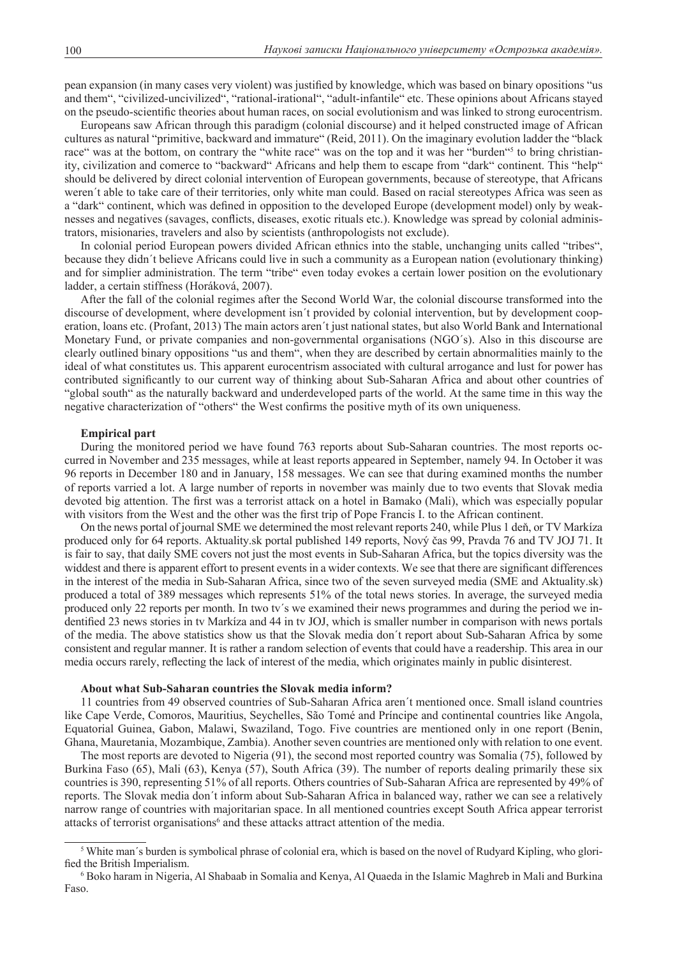pean expansion (in many cases very violent) was justified by knowledge, which was based on binary opositions "us and them", "civilized-uncivilized", "rational-irational", "adult-infantile" etc. These opinions about Africans stayed on the pseudo-scientific theories about human races, on social evolutionism and was linked to strong eurocentrism.

Europeans saw African through this paradigm (colonial discourse) and it helped constructed image of African cultures as natural "primitive, backward and immature" (Reid, 2011). On the imaginary evolution ladder the "black race" was at the bottom, on contrary the "white race" was on the top and it was her "burden" to bring christianity, civilization and comerce to "backward" Africans and help them to escape from "dark" continent. This "help" should be delivered by direct colonial intervention of European governments, because of stereotype, that Africans weren´t able to take care of their territories, only white man could. Based on racial stereotypes Africa was seen as a "dark" continent, which was defined in opposition to the developed Europe (development model) only by weaknesses and negatives (savages, conflicts, diseases, exotic rituals etc.). Knowledge was spread by colonial administrators, misionaries, travelers and also by scientists (anthropologists not exclude).

In colonial period European powers divided African ethnics into the stable, unchanging units called "tribes", because they didn´t believe Africans could live in such a community as a European nation (evolutionary thinking) and for simplier administration. The term "tribe" even today evokes a certain lower position on the evolutionary ladder, a certain stiffness (Horáková, 2007).

After the fall of the colonial regimes after the Second World War, the colonial discourse transformed into the discourse of development, where development isn´t provided by colonial intervention, but by development cooperation, loans etc. (Profant, 2013) The main actors aren´t just national states, but also World Bank and International Monetary Fund, or private companies and non-governmental organisations (NGO´s). Also in this discourse are clearly outlined binary oppositions "us and them", when they are described by certain abnormalities mainly to the ideal of what constitutes us. This apparent eurocentrism associated with cultural arrogance and lust for power has contributed significantly to our current way of thinking about Sub-Saharan Africa and about other countries of "global south" as the naturally backward and underdeveloped parts of the world. At the same time in this way the negative characterization of "others" the West confirms the positive myth of its own uniqueness.

### **Empirical part**

During the monitored period we have found 763 reports about Sub-Saharan countries. The most reports occurred in November and 235 messages, while at least reports appeared in September, namely 94. In October it was 96 reports in December 180 and in January, 158 messages. We can see that during examined months the number of reports varried a lot. A large number of reports in november was mainly due to two events that Slovak media devoted big attention. The first was a terrorist attack on a hotel in Bamako (Mali), which was especially popular with visitors from the West and the other was the first trip of Pope Francis I. to the African continent.

On the news portal of journal SME we determined the most relevant reports 240, while Plus 1 deň, or TV Markíza produced only for 64 reports. Aktuality.sk portal published 149 reports, Nový čas 99, Pravda 76 and TV JOJ 71. It is fair to say, that daily SME covers not just the most events in Sub-Saharan Africa, but the topics diversity was the widdest and there is apparent effort to present events in a wider contexts. We see that there are significant differences in the interest of the media in Sub-Saharan Africa, since two of the seven surveyed media (SME and Aktuality.sk) produced a total of 389 messages which represents 51% of the total news stories. In average, the surveyed media produced only 22 reports per month. In two tv´s we examined their news programmes and during the period we indentified 23 news stories in tv Markíza and 44 in tv JOJ, which is smaller number in comparison with news portals of the media. The above statistics show us that the Slovak media don´t report about Sub-Saharan Africa by some consistent and regular manner. It is rather a random selection of events that could have a readership. This area in our media occurs rarely, reflecting the lack of interest of the media, which originates mainly in public disinterest.

#### **About what Sub-Saharan countries the Slovak media inform?**

11 countries from 49 observed countries of Sub-Saharan Africa aren´t mentioned once. Small island countries like Cape Verde, Comoros, Mauritius, Seychelles, São Tomé and Príncipe and continental countries like Angola, Equatorial Guinea, Gabon, Malawi, Swaziland, Togo. Five countries are mentioned only in one report (Benin, Ghana, Mauretania, Mozambique, Zambia). Another seven countries are mentioned only with relation to one event.

The most reports are devoted to Nigeria (91), the second most reported country was Somalia (75), followed by Burkina Faso (65), Mali (63), Kenya (57), South Africa (39). The number of reports dealing primarily these six countries is 390, representing 51% of all reports. Others countries of Sub-Saharan Africa are represented by 49% of reports. The Slovak media don´t inform about Sub-Saharan Africa in balanced way, rather we can see a relatively narrow range of countries with majoritarian space. In all mentioned countries except South Africa appear terrorist attacks of terrorist organisations<sup>6</sup> and these attacks attract attention of the media.

<sup>&</sup>lt;sup>5</sup> White man's burden is symbolical phrase of colonial era, which is based on the novel of Rudyard Kipling, who glorified the British Imperialism. 6

<sup>&</sup>lt;sup>6</sup> Boko haram in Nigeria, Al Shabaab in Somalia and Kenya, Al Quaeda in the Islamic Maghreb in Mali and Burkina Faso.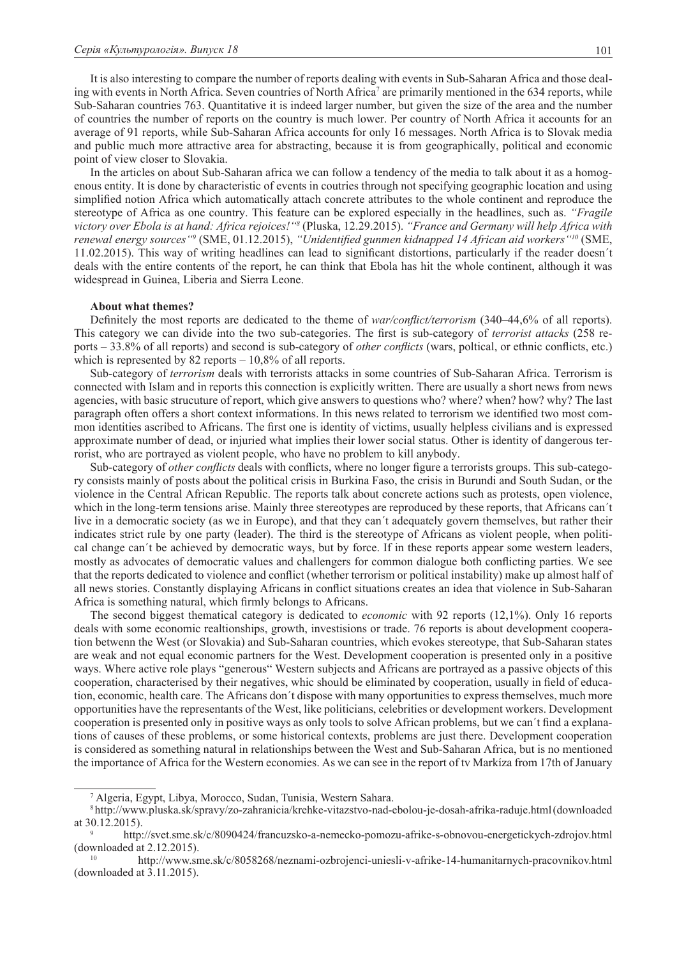It is also interesting to compare the number of reports dealing with events in Sub-Saharan Africa and those dealing with events in North Africa. Seven countries of North Africa<sup>7</sup> are primarily mentioned in the 634 reports, while Sub-Saharan countries 763. Quantitative it is indeed larger number, but given the size of the area and the number of countries the number of reports on the country is much lower. Per country of North Africa it accounts for an average of 91 reports, while Sub-Saharan Africa accounts for only 16 messages. North Africa is to Slovak media and public much more attractive area for abstracting, because it is from geographically, political and economic point of view closer to Slovakia.

In the articles on about Sub-Saharan africa we can follow a tendency of the media to talk about it as a homogenous entity. It is done by characteristic of events in coutries through not specifying geographic location and using simplified notion Africa which automatically attach concrete attributes to the whole continent and reproduce the stereotype of Africa as one country. This feature can be explored especially in the headlines, such as. *"Fragile victory over Ebola is at hand: Africa rejoices!"8* (Pluska, 12.29.2015). *"France and Germany will help Africa with renewal energy sources"9* (SME, 01.12.2015), *"Unidentified gunmen kidnapped 14 African aid workers"10* (SME, 11.02.2015). This way of writing headlines can lead to significant distortions, particularly if the reader doesn´t deals with the entire contents of the report, he can think that Ebola has hit the whole continent, although it was widespread in Guinea, Liberia and Sierra Leone.

## **About what themes?**

Definitely the most reports are dedicated to the theme of *war/conflict/terrorism* (340–44,6% of all reports). This category we can divide into the two sub-categories. The first is sub-category of *terrorist attacks* (258 reports – 33.8% of all reports) and second is sub-category of *other conflicts* (wars, poltical, or ethnic conflicts, etc.) which is represented by 82 reports – 10,8% of all reports.

Sub-category of *terrorism* deals with terrorists attacks in some countries of Sub-Saharan Africa. Terrorism is connected with Islam and in reports this connection is explicitly written. There are usually a short news from news agencies, with basic strucuture of report, which give answers to questions who? where? when? how? why? The last paragraph often offers a short context informations. In this news related to terrorism we identified two most common identities ascribed to Africans. The first one is identity of victims, usually helpless civilians and is expressed approximate number of dead, or injuried what implies their lower social status. Other is identity of dangerous terrorist, who are portrayed as violent people, who have no problem to kill anybody.

Sub-category of *other conflicts* deals with conflicts, where no longer figure a terrorists groups. This sub-category consists mainly of posts about the political crisis in Burkina Faso, the crisis in Burundi and South Sudan, or the violence in the Central African Republic. The reports talk about concrete actions such as protests, open violence, which in the long-term tensions arise. Mainly three stereotypes are reproduced by these reports, that Africans can't live in a democratic society (as we in Europe), and that they can´t adequately govern themselves, but rather their indicates strict rule by one party (leader). The third is the stereotype of Africans as violent people, when political change can´t be achieved by democratic ways, but by force. If in these reports appear some western leaders, mostly as advocates of democratic values and challengers for common dialogue both conflicting parties. We see that the reports dedicated to violence and conflict (whether terrorism or political instability) make up almost half of all news stories. Constantly displaying Africans in conflict situations creates an idea that violence in Sub-Saharan Africa is something natural, which firmly belongs to Africans.

The second biggest thematical category is dedicated to *economic* with 92 reports (12,1%). Only 16 reports deals with some economic realtionships, growth, investisions or trade. 76 reports is about development cooperation betwenn the West (or Slovakia) and Sub-Saharan countries, which evokes stereotype, that Sub-Saharan states are weak and not equal economic partners for the West. Development cooperation is presented only in a positive ways. Where active role plays "generous" Western subjects and Africans are portrayed as a passive objects of this cooperation, characterised by their negatives, whic should be eliminated by cooperation, usually in field of education, economic, health care. The Africans don´t dispose with many opportunities to express themselves, much more opportunities have the representants of the West, like politicians, celebrities or development workers. Development cooperation is presented only in positive ways as only tools to solve African problems, but we can´t find a explanations of causes of these problems, or some historical contexts, problems are just there. Development cooperation is considered as something natural in relationships between the West and Sub-Saharan Africa, but is no mentioned the importance of Africa for the Western economies. As we can see in the report of tv Markíza from 17th of January

<sup>7</sup> Algeria, Egypt, Libya, Morocco, Sudan, Tunisia, Western Sahara.

<sup>8</sup> http://www.pluska.sk/spravy/zo-zahranicia/krehke-vitazstvo-nad-ebolou-je-dosah-afrika-raduje.html (downloaded at 30.12.2015).

<sup>9</sup> http://svet.sme.sk/c/8090424/francuzsko-a-nemecko-pomozu-afrike-s-obnovou-energetickych-zdrojov.html (downloaded at 2.12.2015).

<sup>10</sup> http://www.sme.sk/c/8058268/neznami-ozbrojenci-uniesli-v-afrike-14-humanitarnych-pracovnikov.html (downloaded at 3.11.2015).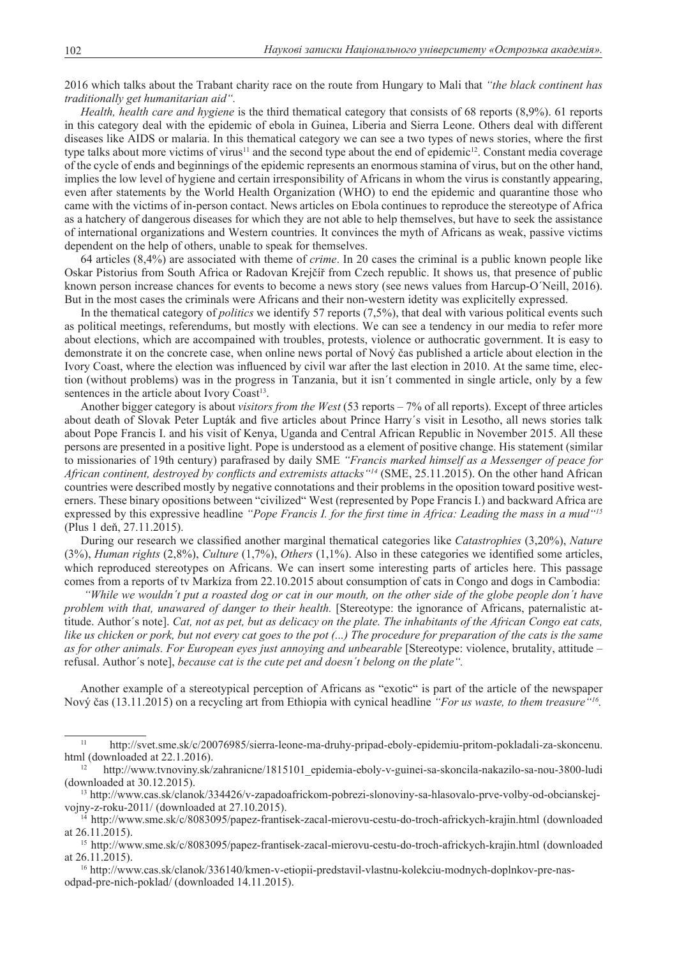2016 which talks about the Trabant charity race on the route from Hungary to Mali that *"the black continent has traditionally get humanitarian aid".*

*Health, health care and hygiene* is the third thematical category that consists of 68 reports (8,9%). 61 reports in this category deal with the epidemic of ebola in Guinea, Liberia and Sierra Leone. Others deal with different diseases like AIDS or malaria. In this thematical category we can see a two types of news stories, where the first type talks about more victims of virus<sup>11</sup> and the second type about the end of epidemic<sup>12</sup>. Constant media coverage of the cycle of ends and beginnings of the epidemic represents an enormous stamina of virus, but on the other hand, implies the low level of hygiene and certain irresponsibility of Africans in whom the virus is constantly appearing, even after statements by the World Health Organization (WHO) to end the epidemic and quarantine those who came with the victims of in-person contact. News articles on Ebola continues to reproduce the stereotype of Africa as a hatchery of dangerous diseases for which they are not able to help themselves, but have to seek the assistance of international organizations and Western countries. It convinces the myth of Africans as weak, passive victims dependent on the help of others, unable to speak for themselves.

64 articles (8,4%) are associated with theme of *crime*. In 20 cases the criminal is a public known people like Oskar Pistorius from South Africa or Radovan Krejčíř from Czech republic. It shows us, that presence of public known person increase chances for events to become a news story (see news values from Harcup-O´Neill, 2016). But in the most cases the criminals were Africans and their non-western idetity was explicitelly expressed.

In the thematical category of *politics* we identify 57 reports (7,5%), that deal with various political events such as political meetings, referendums, but mostly with elections. We can see a tendency in our media to refer more about elections, which are accompained with troubles, protests, violence or authocratic government. It is easy to demonstrate it on the concrete case, when online news portal of Nový čas published a article about election in the Ivory Coast, where the election was influenced by civil war after the last election in 2010. At the same time, election (without problems) was in the progress in Tanzania, but it isn´t commented in single article, only by a few sentences in the article about Ivory Coast<sup>13</sup>.

Another bigger category is about *visitors from the West* (53 reports – 7% of all reports). Except of three articles about death of Slovak Peter Lupták and five articles about Prince Harry´s visit in Lesotho, all news stories talk about Pope Francis I. and his visit of Kenya, Uganda and Central African Republic in November 2015. All these persons are presented in a positive light. Pope is understood as a element of positive change. His statement (similar to missionaries of 19th century) parafrased by daily SME *"Francis marked himself as a Messenger of peace for African continent, destroyed by conflicts and extremists attacks"14* (SME, 25.11.2015). On the other hand African countries were described mostly by negative connotations and their problems in the oposition toward positive westerners. These binary opositions between "civilized" West (represented by Pope Francis I.) and backward Africa are expressed by this expressive headline *"Pope Francis I. for the first time in Africa: Leading the mass in a mud"15* (Plus 1 deň, 27.11.2015).

During our research we classified another marginal thematical categories like *Catastrophies* (3,20%), *Nature* (3%), *Human rights* (2,8%), *Culture* (1,7%), *Others* (1,1%). Also in these categories we identified some articles, which reproduced stereotypes on Africans. We can insert some interesting parts of articles here. This passage comes from a reports of tv Markíza from 22.10.2015 about consumption of cats in Congo and dogs in Cambodia:

 *"While we wouldn´t put a roasted dog or cat in our mouth, on the other side of the globe people don´t have problem with that, unawared of danger to their health.* [Stereotype: the ignorance of Africans, paternalistic attitude. Author´s note]. *Cat, not as pet, but as delicacy on the plate. The inhabitants of the African Congo eat cats, like us chicken or pork, but not every cat goes to the pot (...) The procedure for preparation of the cats is the same as for other animals. For European eyes just annoying and unbearable* [Stereotype: violence, brutality, attitude – refusal. Author´s note], *because cat is the cute pet and doesn´t belong on the plate".* 

Another example of a stereotypical perception of Africans as "exotic" is part of the article of the newspaper Nový čas (13.11.2015) on a recycling art from Ethiopia with cynical headline *"For us waste, to them treasure"16.*

16 http://www.cas.sk/clanok/336140/kmen-v-etiopii-predstavil-vlastnu-kolekciu-modnych-doplnkov-pre-nasodpad-pre-nich-poklad/ (downloaded 14.11.2015).

<sup>11</sup> http://svet.sme.sk/c/20076985/sierra-leone-ma-druhy-pripad-eboly-epidemiu-pritom-pokladali-za-skoncenu. html (downloaded at 22.1.2016).

<sup>12</sup> http://www.tvnoviny.sk/zahranicne/1815101\_epidemia-eboly-v-guinei-sa-skoncila-nakazilo-sa-nou-3800-ludi (downloaded at 30.12.2015).

<sup>13</sup> http://www.cas.sk/clanok/334426/v-zapadoafrickom-pobrezi-slonoviny-sa-hlasovalo-prve-volby-od-obcianskejvojny-z-roku-2011/ (downloaded at 27.10.2015).

<sup>14</sup> http://www.sme.sk/c/8083095/papez-frantisek-zacal-mierovu-cestu-do-troch-africkych-krajin.html (downloaded at 26.11.2015).

<sup>15</sup> http://www.sme.sk/c/8083095/papez-frantisek-zacal-mierovu-cestu-do-troch-africkych-krajin.html (downloaded at 26.11.2015).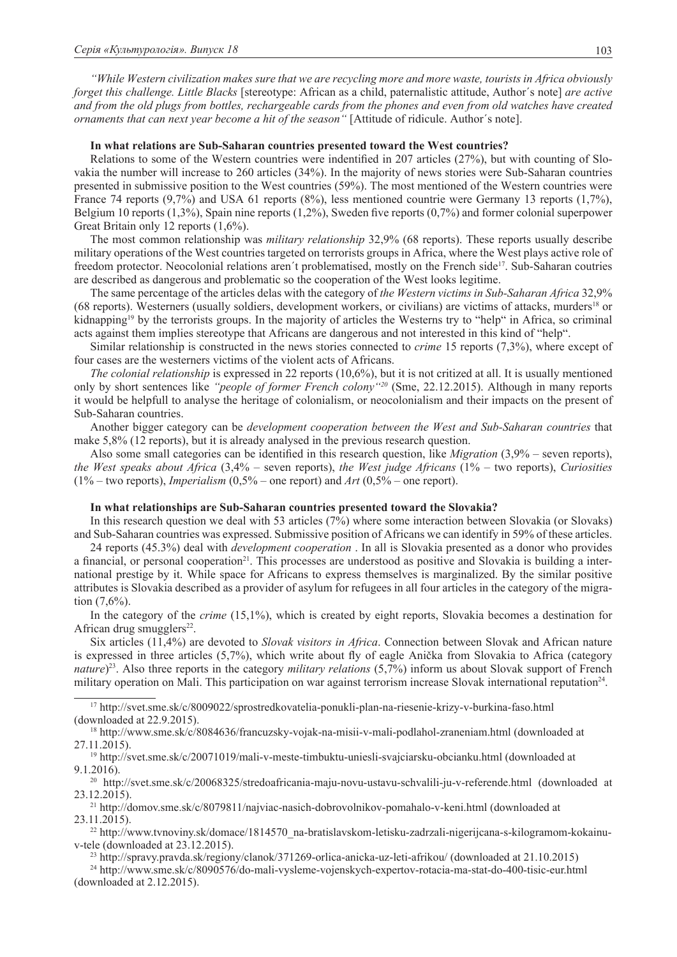*"While Western civilization makes sure that we are recycling more and more waste, tourists in Africa obviously forget this challenge. Little Blacks* [stereotype: African as a child, paternalistic attitude, Author´s note] *are active and from the old plugs from bottles, rechargeable cards from the phones and even from old watches have created ornaments that can next year become a hit of the season"* [Attitude of ridicule. Author´s note].

### **In what relations are Sub-Saharan countries presented toward the West countries?**

Relations to some of the Western countries were indentified in 207 articles (27%), but with counting of Slovakia the number will increase to 260 articles (34%). In the majority of news stories were Sub-Saharan countries presented in submissive position to the West countries (59%). The most mentioned of the Western countries were France 74 reports (9,7%) and USA 61 reports (8%), less mentioned countrie were Germany 13 reports (1,7%), Belgium 10 reports (1,3%), Spain nine reports (1,2%), Sweden five reports (0,7%) and former colonial superpower Great Britain only 12 reports (1,6%).

The most common relationship was *military relationship* 32,9% (68 reports). These reports usually describe military operations of the West countries targeted on terrorists groups in Africa, where the West plays active role of freedom protector. Neocolonial relations aren't problematised, mostly on the French side<sup>17</sup>. Sub-Saharan coutries are described as dangerous and problematic so the cooperation of the West looks legitime.

The same percentage of the articles delas with the category of *the Western victims in Sub-Saharan Africa* 32,9% (68 reports). Westerners (usually soldiers, development workers, or civilians) are victims of attacks, murders18 or kidnapping<sup>19</sup> by the terrorists groups. In the majority of articles the Westerns try to "help" in Africa, so criminal acts against them implies stereotype that Africans are dangerous and not interested in this kind of "help".

Similar relationship is constructed in the news stories connected to *crime* 15 reports (7,3%), where except of four cases are the westerners victims of the violent acts of Africans.

*The colonial relationship* is expressed in 22 reports (10,6%), but it is not critized at all. It is usually mentioned only by short sentences like *"people of former French colony"20* (Sme, 22.12.2015). Although in many reports it would be helpfull to analyse the heritage of colonialism, or neocolonialism and their impacts on the present of Sub-Saharan countries.

Another bigger category can be *development cooperation between the West and Sub-Saharan countries* that make 5,8% (12 reports), but it is already analysed in the previous research question.

Also some small categories can be identified in this research question, like *Migration* (3,9% – seven reports), *the West speaks about Africa* (3,4% – seven reports), *the West judge Africans* (1% – two reports), *Curiosities* (1% – two reports), *Imperialism* (0,5% – one report) and *Art* (0,5% – one report).

### **In what relationships are Sub-Saharan countries presented toward the Slovakia?**

In this research question we deal with 53 articles (7%) where some interaction between Slovakia (or Slovaks) and Sub-Saharan countries was expressed. Submissive position of Africans we can identify in 59% of these articles.

24 reports (45.3%) deal with *development cooperation* . In all is Slovakia presented as a donor who provides a financial, or personal cooperation<sup>21</sup>. This processes are understood as positive and Slovakia is building a international prestige by it. While space for Africans to express themselves is marginalized. By the similar positive attributes is Slovakia described as a provider of asylum for refugees in all four articles in the category of the migration (7,6%).

In the category of the *crime* (15,1%), which is created by eight reports, Slovakia becomes a destination for African drug smugglers $22$ .

Six articles (11,4%) are devoted to *Slovak visitors in Africa*. Connection between Slovak and African nature is expressed in three articles (5,7%), which write about fly of eagle Anička from Slovakia to Africa (category *nature*) 23. Also three reports in the category *military relations* (5,7%) inform us about Slovak support of French military operation on Mali. This participation on war against terrorism increase Slovak international reputation24.

17 http://svet.sme.sk/c/8009022/sprostredkovatelia-ponukli-plan-na-riesenie-krizy-v-burkina-faso.html (downloaded at 22.9.2015).

18 http://www.sme.sk/c/8084636/francuzsky-vojak-na-misii-v-mali-podlahol-zraneniam.html (downloaded at 27.11.2015).

19 http://svet.sme.sk/c/20071019/mali-v-meste-timbuktu-uniesli-svajciarsku-obcianku.html (downloaded at 9.1.2016).

<sup>20</sup> http://svet.sme.sk/c/20068325/stredoafricania-maju-novu-ustavu-schvalili-ju-v-referende.html (downloaded at 23.12.2015).

21 http://domov.sme.sk/c/8079811/najviac-nasich-dobrovolnikov-pomahalo-v-keni.html (downloaded at 23.11.2015).

 $^{22}$ http://www.tvnoviny.sk/domace/1814570\_na-bratislavskom-letisku-zadrzali-nigerijcana-s-kilogramom-kokainuv-tele (downloaded at 23.12.2015).

23 http://spravy.pravda.sk/regiony/clanok/371269-orlica-anicka-uz-leti-afrikou/ (downloaded at 21.10.2015)

24 http://www.sme.sk/c/8090576/do-mali-vysleme-vojenskych-expertov-rotacia-ma-stat-do-400-tisic-eur.html (downloaded at 2.12.2015).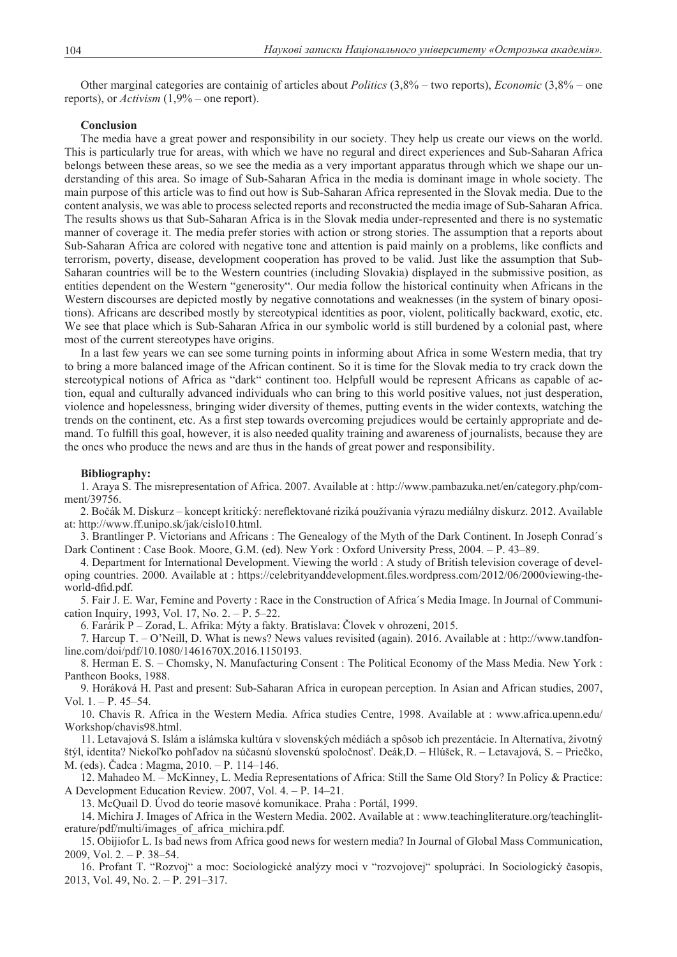Other marginal categories are containig of articles about *Politics* (3,8% – two reports), *Economic* (3,8% – one reports), or *Activism* (1,9% – one report).

#### **Conclusion**

The media have a great power and responsibility in our society. They help us create our views on the world. This is particularly true for areas, with which we have no regural and direct experiences and Sub-Saharan Africa belongs between these areas, so we see the media as a very important apparatus through which we shape our understanding of this area. So image of Sub-Saharan Africa in the media is dominant image in whole society. The main purpose of this article was to find out how is Sub-Saharan Africa represented in the Slovak media. Due to the content analysis, we was able to process selected reports and reconstructed the media image of Sub-Saharan Africa. The results shows us that Sub-Saharan Africa is in the Slovak media under-represented and there is no systematic manner of coverage it. The media prefer stories with action or strong stories. The assumption that a reports about Sub-Saharan Africa are colored with negative tone and attention is paid mainly on a problems, like conflicts and terrorism, poverty, disease, development cooperation has proved to be valid. Just like the assumption that Sub-Saharan countries will be to the Western countries (including Slovakia) displayed in the submissive position, as entities dependent on the Western "generosity". Our media follow the historical continuity when Africans in the Western discourses are depicted mostly by negative connotations and weaknesses (in the system of binary opositions). Africans are described mostly by stereotypical identities as poor, violent, politically backward, exotic, etc. We see that place which is Sub-Saharan Africa in our symbolic world is still burdened by a colonial past, where most of the current stereotypes have origins.

In a last few years we can see some turning points in informing about Africa in some Western media, that try to bring a more balanced image of the African continent. So it is time for the Slovak media to try crack down the stereotypical notions of Africa as "dark" continent too. Helpfull would be represent Africans as capable of action, equal and culturally advanced individuals who can bring to this world positive values, not just desperation, violence and hopelessness, bringing wider diversity of themes, putting events in the wider contexts, watching the trends on the continent, etc. As a first step towards overcoming prejudices would be certainly appropriate and demand. To fulfill this goal, however, it is also needed quality training and awareness of journalists, because they are the ones who produce the news and are thus in the hands of great power and responsibility.

#### **Bibliography:**

1. Araya S. The misrepresentation of Africa. 2007. Available at : http://www.pambazuka.net/en/category.php/comment/39756.

2. Bočák M. Diskurz – koncept kritický: nereflektované riziká používania výrazu mediálny diskurz. 2012. Available at: http://www.ff.unipo.sk/jak/cislo10.html.

3. Brantlinger P. Victorians and Africans : The Genealogy of the Myth of the Dark Continent. In Joseph Conrad´s Dark Continent : Case Book. Moore, G.M. (ed). New York : Oxford University Press, 2004. – Р. 43–89.

4. Department for International Development. Viewing the world : A study of British television coverage of developing countries. 2000. Available at : https://celebrityanddevelopment.files.wordpress.com/2012/06/2000viewing-theworld-dfid.pdf.

5. Fair J. E. War, Femine and Poverty : Race in the Construction of Africa´s Media Image. In Journal of Communication Inquiry, 1993, Vol. 17, No. 2. – Р. 5–22.

6. Farárik P – Zorad, L. Afrika: Mýty a fakty. Bratislava: Človek v ohrození, 2015.

7. Harcup T. – O'Neill, D. What is news? News values revisited (again). 2016. Available at : http://www.tandfonline.com/doi/pdf/10.1080/1461670X.2016.1150193.

8. Herman E. S. – Chomsky, N. Manufacturing Consent : The Political Economy of the Mass Media. New York : Pantheon Books, 1988.

9. Horáková H. Past and present: Sub-Saharan Africa in european perception. In Asian and African studies, 2007, Vol. 1. – Р. 45–54.

10. Chavis R. Africa in the Western Media. Africa studies Centre, 1998. Available at : www.africa.upenn.edu/ Workshop/chavis98.html.

11. Letavajová S. Islám a islámska kultúra v slovenských médiách a spôsob ich prezentácie. In Alternatíva, životný štýl, identita? Niekoľko pohľadov na súčasnú slovenskú spoločnosť. Deák,D. – Hlúšek, R. – Letavajová, S. – Priečko, M. (eds). Čadca : Magma, 2010. – Р. 114–146.

12. Mahadeo M. – McKinney, L. Media Representations of Africa: Still the Same Old Story? In Policy & Practice: A Development Education Review. 2007, Vol. 4. – Р. 14–21.

13. McQuail D. Úvod do teorie masové komunikace. Praha : Portál, 1999.

14. Michira J. Images of Africa in the Western Media. 2002. Available at : www.teachingliterature.org/teachingliterature/pdf/multi/images\_of\_africa\_michira.pdf.

15. Obijiofor L. Is bad news from Africa good news for western media? In Journal of Global Mass Communication, 2009, Vol. 2. – Р. 38–54.

16. Profant T. "Rozvoj" a moc: Sociologické analýzy moci v "rozvojovej" spolupráci. In Sociologický časopis, 2013, Vol. 49, No. 2. – Р. 291–317.